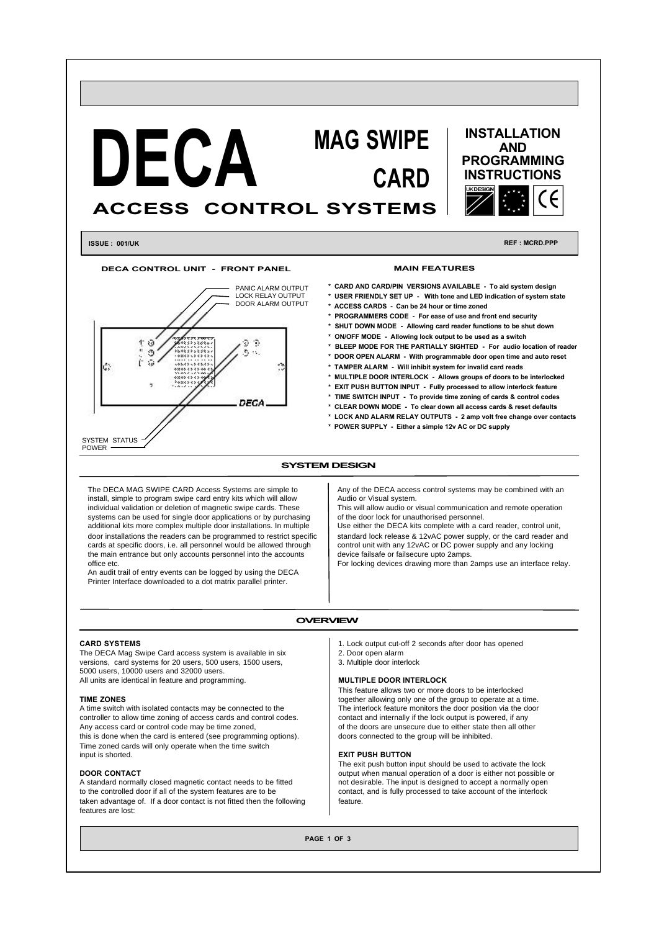

**DECA CONTROL UNIT - FRONT PANEL**



# **MAIN FEATURES**

- **\* CARD AND CARD/PIN VERSIONS AVAILABLE To aid system design**
- **\* USER FRIENDLY SET UP With tone and LED indication of system state**
- **\* ACCESS CARDS Can be 24 hour or time zoned**
- **\* PROGRAMMERS CODE For ease of use and front end security**
- **\* SHUT DOWN MODE Allowing card reader functions to be shut down**
- **\* ON/OFF MODE Allowing lock output to be used as a switch**
- **\* BLEEP MODE FOR THE PARTIALLY SIGHTED For audio location of reader**
- **\* DOOR OPEN ALARM With programmable door open time and auto reset**
- **\* TAMPER ALARM Will inhibit system for invalid card reads**
- **\* MULTIPLE DOOR INTERLOCK Allows groups of doors to be interlocked**
- **\* EXIT PUSH BUTTON INPUT Fully processed to allow interlock feature**
- **\* TIME SWITCH INPUT To provide time zoning of cards & control codes**
- **\* CLEAR DOWN MODE To clear down all access cards & reset defaults**
- **\* LOCK AND ALARM RELAY OUTPUTS 2 amp volt free change over contacts \* POWER SUPPLY - Either a simple 12v AC or DC supply**

# **SYSTEM DESIGN**

The DECA MAG SWIPE CARD Access Systems are simple to install, simple to program swipe card entry kits which will allow individual validation or deletion of magnetic swipe cards. These systems can be used for single door applications or by purchasing additional kits more complex multiple door installations. In multiple door installations the readers can be programmed to restrict specific cards at specific doors, i.e. all personnel would be allowed through the main entrance but only accounts personnel into the accounts office etc.

An audit trail of entry events can be logged by using the DECA Printer Interface downloaded to a dot matrix parallel printer.

Any of the DECA access control systems may be combined with an Audio or Visual system.

This will allow audio or visual communication and remote operation of the door lock for unauthorised personnel.

Use either the DECA kits complete with a card reader, control unit, standard lock release & 12vAC power supply, or the card reader and control unit with any 12vAC or DC power supply and any locking device failsafe or failsecure upto 2amps.

For locking devices drawing more than 2amps use an interface relay.

# **OVERVIEW**

#### **CARD SYSTEMS**

The DECA Mag Swipe Card access system is available in six versions, card systems for 20 users, 500 users, 1500 users, 5000 users, 10000 users and 32000 users. All units are identical in feature and programming.

# **TIME ZONES**

A time switch with isolated contacts may be connected to the controller to allow time zoning of access cards and control codes. Any access card or control code may be time zoned, this is done when the card is entered (see programming options). Time zoned cards will only operate when the time switch input is shorted.

#### **DOOR CONTACT**

A standard normally closed magnetic contact needs to be fitted to the controlled door if all of the system features are to be taken advantage of. If a door contact is not fitted then the following features are lost:

- 1. Lock output cut-off 2 seconds after door has opened
- 2. Door open alarm 3. Multiple door interlock

# **MULTIPLE DOOR INTERLOCK**

This feature allows two or more doors to be interlocked together allowing only one of the group to operate at a time. The interlock feature monitors the door position via the door contact and internally if the lock output is powered, if any of the doors are unsecure due to either state then all other doors connected to the group will be inhibited.

# **EXIT PUSH BUTTON**

The exit push button input should be used to activate the lock output when manual operation of a door is either not possible or not desirable. The input is designed to accept a normally open contact, and is fully processed to take account of the interlock feature.

**PAGE 1 OF 3**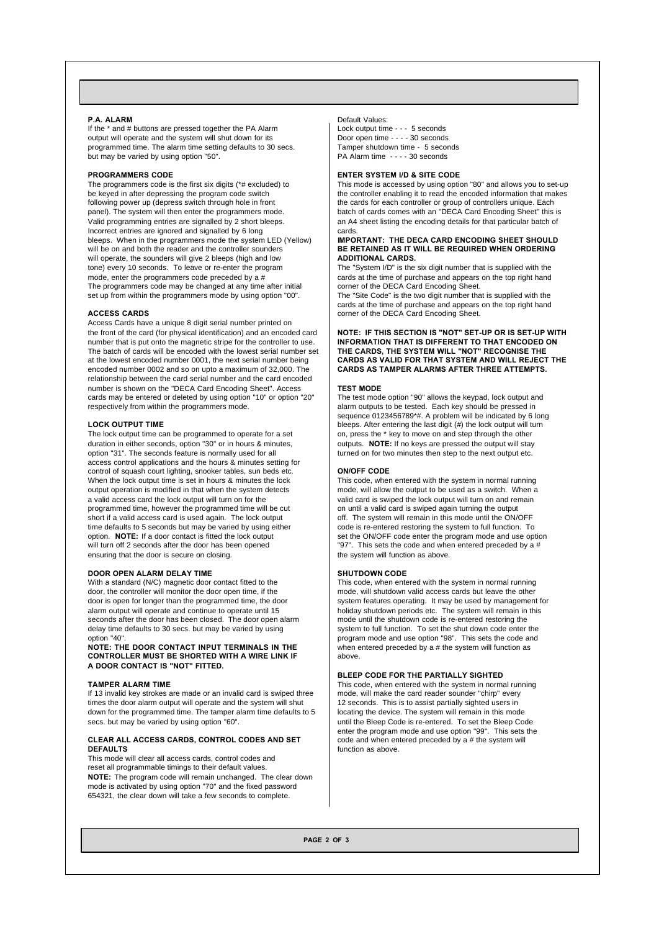#### **P.A. ALARM**

If the \* and # buttons are pressed together the PA Alarm output will operate and the system will shut down for its programmed time. The alarm time setting defaults to 30 secs. but may be varied by using option "50".

# **PROGRAMMERS CODE**

The programmers code is the first six digits (\*# excluded) to be keyed in after depressing the program code switch following power up (depress switch through hole in front panel). The system will then enter the programmers mode. Valid programming entries are signalled by 2 short bleeps. Incorrect entries are ignored and signalled by 6 long bleeps. When in the programmers mode the system LED (Yellow) will be on and both the reader and the controller sounders will operate, the sounders will give 2 bleeps (high and low tone) every 10 seconds. To leave or re-enter the program mode, enter the programmers code preceded by a # The programmers code may be changed at any time after initial set up from within the programmers mode by using option "00".

### **ACCESS CARDS**

Access Cards have a unique 8 digit serial number printed on the front of the card (for physical identification) and an encoded card number that is put onto the magnetic stripe for the controller to use. The batch of cards will be encoded with the lowest serial number set at the lowest encoded number 0001, the next serial number being encoded number 0002 and so on upto a maximum of 32,000. The relationship between the card serial number and the card encoded number is shown on the "DECA Card Encoding Sheet". Access cards may be entered or deleted by using option "10" or option "20" respectively from within the programmers mode.

# **LOCK OUTPUT TIME**

The lock output time can be programmed to operate for a set duration in either seconds, option "30" or in hours & minutes, option "31". The seconds feature is normally used for all access control applications and the hours & minutes setting for control of squash court lighting, snooker tables, sun beds etc. When the lock output time is set in hours & minutes the lock output operation is modified in that when the system detects a valid access card the lock output will turn on for the programmed time, however the programmed time will be cut short if a valid access card is used again. The lock output time defaults to 5 seconds but may be varied by using either option. **NOTE:** If a door contact is fitted the lock output will turn off 2 seconds after the door has been opened ensuring that the door is secure on closing.

# **DOOR OPEN ALARM DELAY TIME**

With a standard (N/C) magnetic door contact fitted to the door, the controller will monitor the door open time, if the door is open for longer than the programmed time, the door alarm output will operate and continue to operate until 15 seconds after the door has been closed. The door open alarm delay time defaults to 30 secs. but may be varied by using option "40".

**NOTE: THE DOOR CONTACT INPUT TERMINALS IN THE CONTROLLER MUST BE SHORTED WITH A WIRE LINK IF A DOOR CONTACT IS "NOT" FITTED.**

# **TAMPER ALARM TIME**

If 13 invalid key strokes are made or an invalid card is swiped three times the door alarm output will operate and the system will shut down for the programmed time. The tamper alarm time defaults to 5 secs. but may be varied by using option "60".

#### **CLEAR ALL ACCESS CARDS, CONTROL CODES AND SET DEFAULTS**

This mode will clear all access cards, control codes and reset all programmable timings to their default values. **NOTE:** The program code will remain unchanged. The clear down mode is activated by using option "70" and the fixed password 654321, the clear down will take a few seconds to complete.

#### Default Values: Lock output time - - - 5 seconds Door open time - - - - 30 seconds Tamper shutdown time - 5 seconds PA Alarm time - - - - 30 seconds

### **ENTER SYSTEM I/D & SITE CODE**

This mode is accessed by using option "80" and allows you to set-up the controller enabling it to read the encoded information that makes the cards for each controller or group of controllers unique. Each batch of cards comes with an "DECA Card Encoding Sheet" this is an A4 sheet listing the encoding details for that particular batch of cards.

## I**MPORTANT: THE DECA CARD ENCODING SHEET SHOULD BE RETAINED AS IT WILL BE REQUIRED WHEN ORDERING ADDITIONAL CARDS.**

The "System I/D" is the six digit number that is supplied with the cards at the time of purchase and appears on the top right hand corner of the DECA Card Encoding Sheet.

The "Site Code" is the two digit number that is supplied with the cards at the time of purchase and appears on the top right hand corner of the DECA Card Encoding Sheet.

# **NOTE: IF THIS SECTION IS "NOT" SET-UP OR IS SET-UP WITH INFORMATION THAT IS DIFFERENT TO THAT ENCODED ON THE CARDS, THE SYSTEM WILL "NOT" RECOGNISE THE CARDS AS VALID FOR THAT SYSTEM AND WILL REJECT THE CARDS AS TAMPER ALARMS AFTER THREE ATTEMPTS.**

# **TEST MODE**

The test mode option "90" allows the keypad, lock output and alarm outputs to be tested. Each key should be pressed in sequence 0123456789\*#. A problem will be indicated by 6 long bleeps. After entering the last digit (#) the lock output will turn on, press the \* key to move on and step through the other outputs. **NOTE:** If no keys are pressed the output will stay turned on for two minutes then step to the next output etc.

#### **ON/OFF CODE**

This code, when entered with the system in normal running mode, will allow the output to be used as a switch. When a valid card is swiped the lock output will turn on and remain on until a valid card is swiped again turning the output off. The system will remain in this mode until the ON/OFF code is re-entered restoring the system to full function. To set the ON/OFF code enter the program mode and use option "97". This sets the code and when entered preceded by a # the system will function as above.

#### **SHUTDOWN CODE**

This code, when entered with the system in normal running mode, will shutdown valid access cards but leave the other system features operating. It may be used by management for holiday shutdown periods etc. The system will remain in this mode until the shutdown code is re-entered restoring the system to full function. To set the shut down code enter the program mode and use option "98". This sets the code and when entered preceded by a # the system will function as above.

#### **BLEEP CODE FOR THE PARTIALLY SIGHTED**

This code, when entered with the system in normal running mode, will make the card reader sounder "chirp" every 12 seconds. This is to assist partially sighted users in locating the device. The system will remain in this mode until the Bleep Code is re-entered. To set the Bleep Code enter the program mode and use option "99". This sets the code and when entered preceded by a # the system will function as above.

**PAGE 2 OF 3**